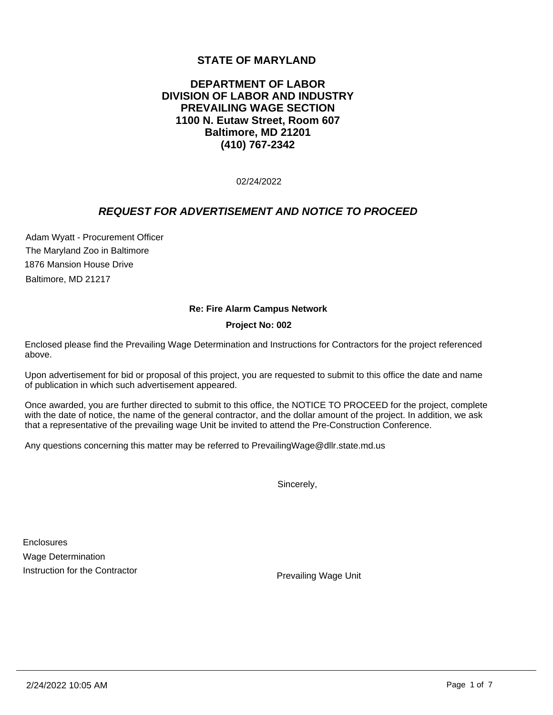# **STATE OF MARYLAND**

# **DEPARTMENT OF LABOR DIVISION OF LABOR AND INDUSTRY PREVAILING WAGE SECTION 1100 N. Eutaw Street, Room 607 Baltimore, MD 21201 (410) 767-2342**

02/24/2022

## **REQUEST FOR ADVERTISEMENT AND NOTICE TO PROCEED**

Adam Wyatt - Procurement Officer 1876 Mansion House Drive Baltimore, MD 21217 The Maryland Zoo in Baltimore

### **Re: Fire Alarm Campus Network**

### **Project No: 002**

Enclosed please find the Prevailing Wage Determination and Instructions for Contractors for the project referenced above.

Upon advertisement for bid or proposal of this project, you are requested to submit to this office the date and name of publication in which such advertisement appeared.

Once awarded, you are further directed to submit to this office, the NOTICE TO PROCEED for the project, complete with the date of notice, the name of the general contractor, and the dollar amount of the project. In addition, we ask that a representative of the prevailing wage Unit be invited to attend the Pre-Construction Conference.

Any questions concerning this matter may be referred to PrevailingWage@dllr.state.md.us

Sincerely,

**Enclosures** Wage Determination Instruction for the Contractor **Prevailing Wage Unit** Prevailing Wage Unit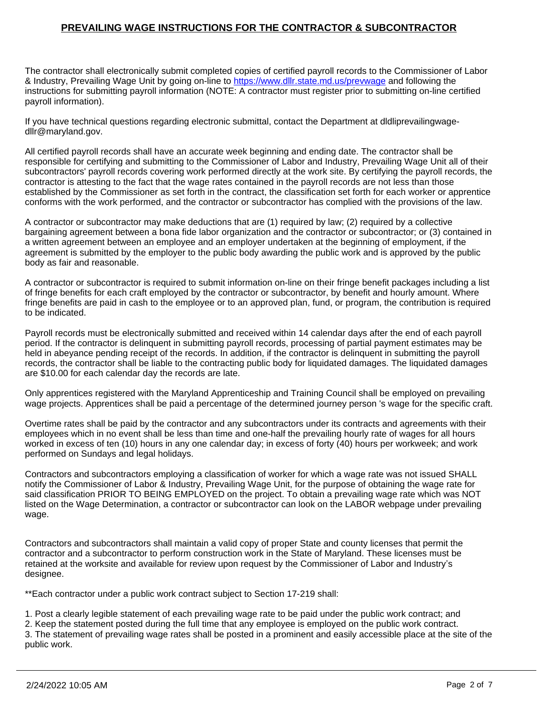## **PREVAILING WAGE INSTRUCTIONS FOR THE CONTRACTOR & SUBCONTRACTOR**

The contractor shall electronically submit completed copies of certified payroll records to the Commissioner of Labor & Industry, Prevailing Wage Unit by going on-line to <https://www.dllr.state.md.us/prevwage> and following the instructions for submitting payroll information (NOTE: A contractor must register prior to submitting on-line certified payroll information).

If you have technical questions regarding electronic submittal, contact the Department at dldliprevailingwagedllr@maryland.gov.

All certified payroll records shall have an accurate week beginning and ending date. The contractor shall be responsible for certifying and submitting to the Commissioner of Labor and Industry, Prevailing Wage Unit all of their subcontractors' payroll records covering work performed directly at the work site. By certifying the payroll records, the contractor is attesting to the fact that the wage rates contained in the payroll records are not less than those established by the Commissioner as set forth in the contract, the classification set forth for each worker or apprentice conforms with the work performed, and the contractor or subcontractor has complied with the provisions of the law.

A contractor or subcontractor may make deductions that are (1) required by law; (2) required by a collective bargaining agreement between a bona fide labor organization and the contractor or subcontractor; or (3) contained in a written agreement between an employee and an employer undertaken at the beginning of employment, if the agreement is submitted by the employer to the public body awarding the public work and is approved by the public body as fair and reasonable.

A contractor or subcontractor is required to submit information on-line on their fringe benefit packages including a list of fringe benefits for each craft employed by the contractor or subcontractor, by benefit and hourly amount. Where fringe benefits are paid in cash to the employee or to an approved plan, fund, or program, the contribution is required to be indicated.

Payroll records must be electronically submitted and received within 14 calendar days after the end of each payroll period. If the contractor is delinquent in submitting payroll records, processing of partial payment estimates may be held in abeyance pending receipt of the records. In addition, if the contractor is delinquent in submitting the payroll records, the contractor shall be liable to the contracting public body for liquidated damages. The liquidated damages are \$10.00 for each calendar day the records are late.

Only apprentices registered with the Maryland Apprenticeship and Training Council shall be employed on prevailing wage projects. Apprentices shall be paid a percentage of the determined journey person 's wage for the specific craft.

Overtime rates shall be paid by the contractor and any subcontractors under its contracts and agreements with their employees which in no event shall be less than time and one-half the prevailing hourly rate of wages for all hours worked in excess of ten (10) hours in any one calendar day; in excess of forty (40) hours per workweek; and work performed on Sundays and legal holidays.

Contractors and subcontractors employing a classification of worker for which a wage rate was not issued SHALL notify the Commissioner of Labor & Industry, Prevailing Wage Unit, for the purpose of obtaining the wage rate for said classification PRIOR TO BEING EMPLOYED on the project. To obtain a prevailing wage rate which was NOT listed on the Wage Determination, a contractor or subcontractor can look on the LABOR webpage under prevailing wage.

Contractors and subcontractors shall maintain a valid copy of proper State and county licenses that permit the contractor and a subcontractor to perform construction work in the State of Maryland. These licenses must be retained at the worksite and available for review upon request by the Commissioner of Labor and Industry's designee.

\*\*Each contractor under a public work contract subject to Section 17-219 shall:

1. Post a clearly legible statement of each prevailing wage rate to be paid under the public work contract; and

2. Keep the statement posted during the full time that any employee is employed on the public work contract.

3. The statement of prevailing wage rates shall be posted in a prominent and easily accessible place at the site of the public work.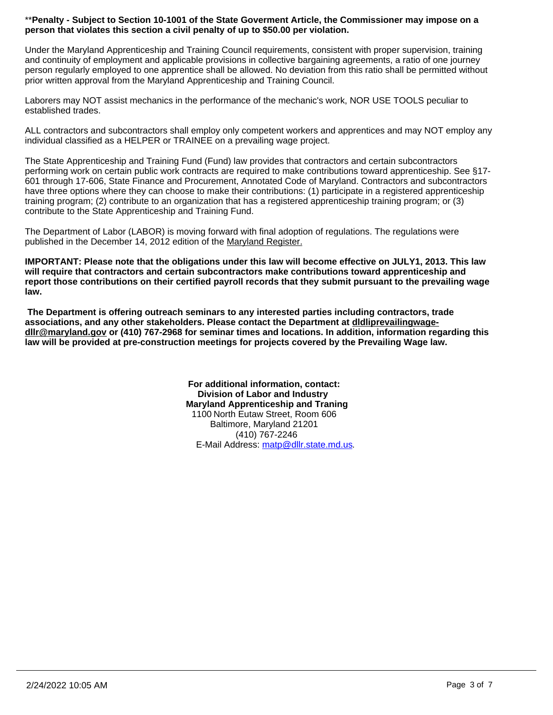#### \*\***Penalty - Subject to Section 10-1001 of the State Goverment Article, the Commissioner may impose on a person that violates this section a civil penalty of up to \$50.00 per violation.**

Under the Maryland Apprenticeship and Training Council requirements, consistent with proper supervision, training and continuity of employment and applicable provisions in collective bargaining agreements, a ratio of one journey person regularly employed to one apprentice shall be allowed. No deviation from this ratio shall be permitted without prior written approval from the Maryland Apprenticeship and Training Council.

Laborers may NOT assist mechanics in the performance of the mechanic's work, NOR USE TOOLS peculiar to established trades.

ALL contractors and subcontractors shall employ only competent workers and apprentices and may NOT employ any individual classified as a HELPER or TRAINEE on a prevailing wage project.

The State Apprenticeship and Training Fund (Fund) law provides that contractors and certain subcontractors performing work on certain public work contracts are required to make contributions toward apprenticeship. See §17- 601 through 17-606, State Finance and Procurement, Annotated Code of Maryland. Contractors and subcontractors have three options where they can choose to make their contributions: (1) participate in a registered apprenticeship training program; (2) contribute to an organization that has a registered apprenticeship training program; or (3) contribute to the State Apprenticeship and Training Fund.

The Department of Labor (LABOR) is moving forward with final adoption of regulations. The regulations were published in the December 14, 2012 edition of the Maryland Register.

**IMPORTANT: Please note that the obligations under this law will become effective on JULY 1, 2013. This law will require that contractors and certain subcontractors make contributions toward apprenticeship and report those contributions on their certified payroll records that they submit pursuant to the prevailing wage law.**

 **The Department is offering outreach seminars to any interested parties including contractors, trade associations, and any other stakeholders. Please contact the Department at dldliprevailingwagedllr@maryland.gov or (410) 767-2968 for seminar times and locations. In addition, information regarding this law will be provided at pre-construction meetings for projects covered by the Prevailing Wage law.**

> **For additional information, contact: Division of Labor and Industry Maryland Apprenticeship and Traning** 1100 North Eutaw Street, Room 606 Baltimore, Maryland 21201 (410) 767-2246 E-Mail Address: [matp@dllr.state.md.us](mailto:matp@dllr.state.md.us).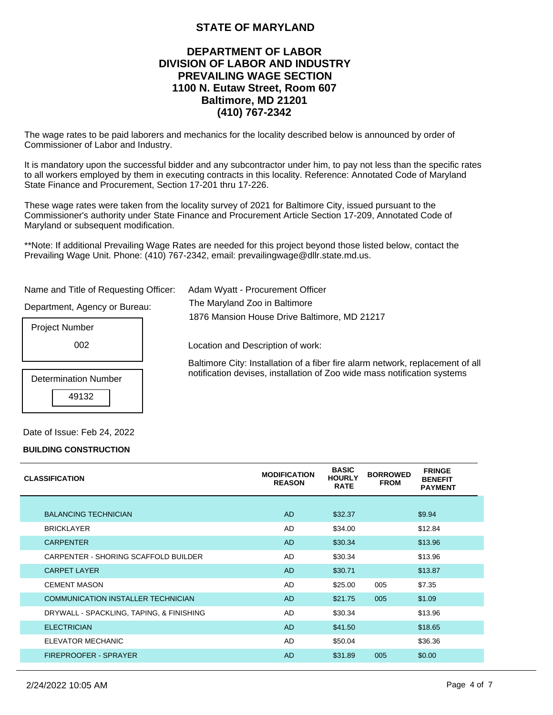# **STATE OF MARYLAND**

# **DEPARTMENT OF LABOR DIVISION OF LABOR AND INDUSTRY PREVAILING WAGE SECTION 1100 N. Eutaw Street, Room 607 Baltimore, MD 21201 (410) 767-2342**

The wage rates to be paid laborers and mechanics for the locality described below is announced by order of Commissioner of Labor and Industry.

It is mandatory upon the successful bidder and any subcontractor under him, to pay not less than the specific rates to all workers employed by them in executing contracts in this locality. Reference: Annotated Code of Maryland State Finance and Procurement, Section 17-201 thru 17-226.

These wage rates were taken from the locality survey of 2021 for Baltimore City, issued pursuant to the Commissioner's authority under State Finance and Procurement Article Section 17-209, Annotated Code of Maryland or subsequent modification.

\*\*Note: If additional Prevailing Wage Rates are needed for this project beyond those listed below, contact the Prevailing Wage Unit. Phone: (410) 767-2342, email: prevailingwage@dllr.state.md.us.

Name and Title of Requesting Officer:

Department, Agency or Bureau:

| <b>Project Number</b> |  |  |  |  |  |  |
|-----------------------|--|--|--|--|--|--|
| 002                   |  |  |  |  |  |  |



Adam Wyatt - Procurement Officer The Maryland Zoo in Baltimore 1876 Mansion House Drive Baltimore, MD 21217

Location and Description of work:

Baltimore City: Installation of a fiber fire alarm network, replacement of all notification devises, installation of Zoo wide mass notification systems Determination Number

Date of Issue: Feb 24, 2022

#### **BUILDING CONSTRUCTION**

| <b>CLASSIFICATION</b>                     | <b>MODIFICATION</b><br><b>REASON</b> | <b>BASIC</b><br><b>HOURLY</b><br><b>RATE</b> | <b>BORROWED</b><br><b>FROM</b> | <b>FRINGE</b><br><b>BENEFIT</b><br><b>PAYMENT</b> |
|-------------------------------------------|--------------------------------------|----------------------------------------------|--------------------------------|---------------------------------------------------|
|                                           |                                      |                                              |                                |                                                   |
| <b>BALANCING TECHNICIAN</b>               | AD.                                  | \$32.37                                      |                                | \$9.94                                            |
| <b>BRICKLAYER</b>                         | AD.                                  | \$34.00                                      |                                | \$12.84                                           |
| <b>CARPENTER</b>                          | AD.                                  | \$30.34                                      |                                | \$13.96                                           |
| CARPENTER - SHORING SCAFFOLD BUILDER      | <b>AD</b>                            | \$30.34                                      |                                | \$13.96                                           |
| <b>CARPET LAYER</b>                       | AD.                                  | \$30.71                                      |                                | \$13.87                                           |
| <b>CEMENT MASON</b>                       | AD.                                  | \$25.00                                      | 005                            | \$7.35                                            |
| <b>COMMUNICATION INSTALLER TECHNICIAN</b> | AD.                                  | \$21.75                                      | 005                            | \$1.09                                            |
| DRYWALL - SPACKLING, TAPING, & FINISHING  | AD.                                  | \$30.34                                      |                                | \$13.96                                           |
| <b>ELECTRICIAN</b>                        | AD.                                  | \$41.50                                      |                                | \$18.65                                           |
| ELEVATOR MECHANIC                         | <b>AD</b>                            | \$50.04                                      |                                | \$36.36                                           |
| FIREPROOFER - SPRAYER                     | <b>AD</b>                            | \$31.89                                      | 005                            | \$0.00                                            |
|                                           |                                      |                                              |                                |                                                   |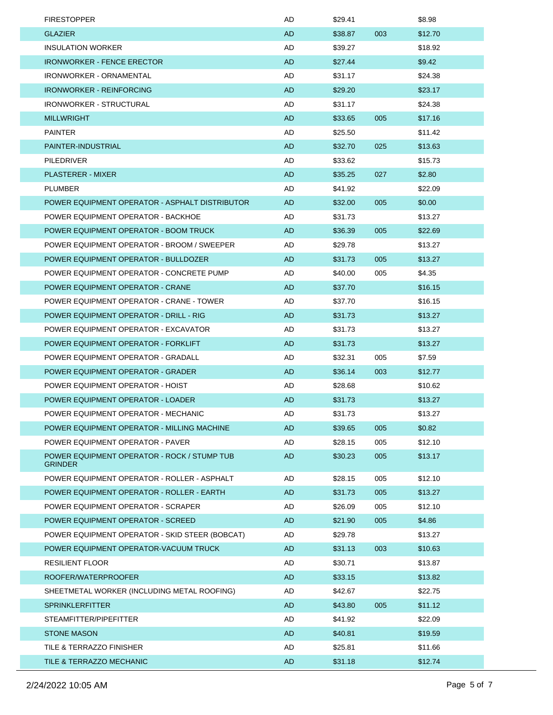| <b>FIRESTOPPER</b>                                            | AD        | \$29.41 |     | \$8.98  |
|---------------------------------------------------------------|-----------|---------|-----|---------|
| <b>GLAZIER</b>                                                | <b>AD</b> | \$38.87 | 003 | \$12.70 |
| <b>INSULATION WORKER</b>                                      | AD        | \$39.27 |     | \$18.92 |
| <b>IRONWORKER - FENCE ERECTOR</b>                             | <b>AD</b> | \$27.44 |     | \$9.42  |
| IRONWORKER - ORNAMENTAL                                       | AD        | \$31.17 |     | \$24.38 |
| <b>IRONWORKER - REINFORCING</b>                               | <b>AD</b> | \$29.20 |     | \$23.17 |
| <b>IRONWORKER - STRUCTURAL</b>                                | AD        | \$31.17 |     | \$24.38 |
| <b>MILLWRIGHT</b>                                             | <b>AD</b> | \$33.65 | 005 | \$17.16 |
| <b>PAINTER</b>                                                | AD        | \$25.50 |     | \$11.42 |
| <b>PAINTER-INDUSTRIAL</b>                                     | AD        | \$32.70 | 025 | \$13.63 |
| <b>PILEDRIVER</b>                                             | AD        | \$33.62 |     | \$15.73 |
| PLASTERER - MIXER                                             | <b>AD</b> | \$35.25 | 027 | \$2.80  |
| <b>PLUMBER</b>                                                | AD        | \$41.92 |     | \$22.09 |
| POWER EQUIPMENT OPERATOR - ASPHALT DISTRIBUTOR                | <b>AD</b> | \$32.00 | 005 | \$0.00  |
| POWER EQUIPMENT OPERATOR - BACKHOE                            | AD        | \$31.73 |     | \$13.27 |
| POWER EQUIPMENT OPERATOR - BOOM TRUCK                         | <b>AD</b> | \$36.39 | 005 | \$22.69 |
| POWER EQUIPMENT OPERATOR - BROOM / SWEEPER                    | AD        | \$29.78 |     | \$13.27 |
| POWER EQUIPMENT OPERATOR - BULLDOZER                          | <b>AD</b> | \$31.73 | 005 | \$13.27 |
| POWER EQUIPMENT OPERATOR - CONCRETE PUMP                      | AD        | \$40.00 | 005 | \$4.35  |
| <b>POWER EQUIPMENT OPERATOR - CRANE</b>                       | AD        | \$37.70 |     | \$16.15 |
| POWER EQUIPMENT OPERATOR - CRANE - TOWER                      | AD        | \$37.70 |     | \$16.15 |
| POWER EQUIPMENT OPERATOR - DRILL - RIG                        | <b>AD</b> | \$31.73 |     | \$13.27 |
| POWER EQUIPMENT OPERATOR - EXCAVATOR                          | AD        | \$31.73 |     | \$13.27 |
| POWER EQUIPMENT OPERATOR - FORKLIFT                           | <b>AD</b> | \$31.73 |     | \$13.27 |
| POWER EQUIPMENT OPERATOR - GRADALL                            | AD        | \$32.31 | 005 | \$7.59  |
| POWER EQUIPMENT OPERATOR - GRADER                             | <b>AD</b> | \$36.14 | 003 | \$12.77 |
| POWER EQUIPMENT OPERATOR - HOIST                              | AD        | \$28.68 |     | \$10.62 |
| <b>POWER EQUIPMENT OPERATOR - LOADER</b>                      | <b>AD</b> | \$31.73 |     | \$13.27 |
| POWER EQUIPMENT OPERATOR - MECHANIC                           | AD        | \$31.73 |     | \$13.27 |
| POWER EQUIPMENT OPERATOR - MILLING MACHINE                    | AD        | \$39.65 | 005 | \$0.82  |
| POWER EQUIPMENT OPERATOR - PAVER                              | AD        | \$28.15 | 005 | \$12.10 |
| POWER EQUIPMENT OPERATOR - ROCK / STUMP TUB<br><b>GRINDER</b> | <b>AD</b> | \$30.23 | 005 | \$13.17 |
| POWER EQUIPMENT OPERATOR - ROLLER - ASPHALT                   | AD        | \$28.15 | 005 | \$12.10 |
| POWER EQUIPMENT OPERATOR - ROLLER - EARTH                     | <b>AD</b> | \$31.73 | 005 | \$13.27 |
| POWER EQUIPMENT OPERATOR - SCRAPER                            | AD        | \$26.09 | 005 | \$12.10 |
| POWER EQUIPMENT OPERATOR - SCREED                             | <b>AD</b> | \$21.90 | 005 | \$4.86  |
| POWER EQUIPMENT OPERATOR - SKID STEER (BOBCAT)                | AD        | \$29.78 |     | \$13.27 |
| POWER EQUIPMENT OPERATOR-VACUUM TRUCK                         | <b>AD</b> | \$31.13 | 003 | \$10.63 |
| <b>RESILIENT FLOOR</b>                                        | AD        | \$30.71 |     | \$13.87 |
| ROOFER/WATERPROOFER                                           | <b>AD</b> | \$33.15 |     | \$13.82 |
| SHEETMETAL WORKER (INCLUDING METAL ROOFING)                   | AD        | \$42.67 |     | \$22.75 |
| <b>SPRINKLERFITTER</b>                                        | AD        | \$43.80 | 005 | \$11.12 |
| STEAMFITTER/PIPEFITTER                                        | AD        | \$41.92 |     | \$22.09 |
| <b>STONE MASON</b>                                            | <b>AD</b> | \$40.81 |     | \$19.59 |
| TILE & TERRAZZO FINISHER                                      | AD        | \$25.81 |     | \$11.66 |
| TILE & TERRAZZO MECHANIC                                      | <b>AD</b> | \$31.18 |     | \$12.74 |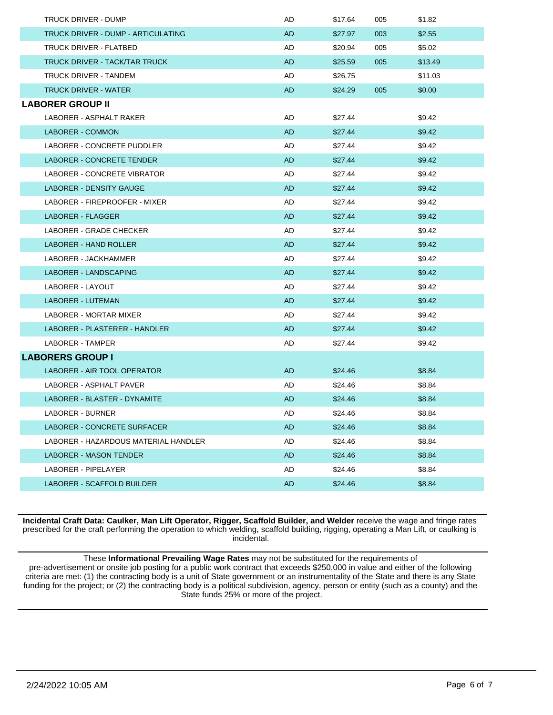| TRUCK DRIVER - DUMP                  | AD        | \$17.64 | 005 | \$1.82  |
|--------------------------------------|-----------|---------|-----|---------|
| TRUCK DRIVER - DUMP - ARTICULATING   | AD.       | \$27.97 | 003 | \$2.55  |
| TRUCK DRIVER - FLATBED               | AD.       | \$20.94 | 005 | \$5.02  |
| TRUCK DRIVER - TACK/TAR TRUCK        | AD.       | \$25.59 | 005 | \$13.49 |
| TRUCK DRIVER - TANDEM                | AD        | \$26.75 |     | \$11.03 |
| TRUCK DRIVER - WATER                 | AD.       | \$24.29 | 005 | \$0.00  |
| <b>LABORER GROUP II</b>              |           |         |     |         |
| LABORER - ASPHALT RAKER              | AD        | \$27.44 |     | \$9.42  |
| LABORER - COMMON                     | <b>AD</b> | \$27.44 |     | \$9.42  |
| LABORER - CONCRETE PUDDLER           | AD.       | \$27.44 |     | \$9.42  |
| LABORER - CONCRETE TENDER            | AD.       | \$27.44 |     | \$9.42  |
| LABORER - CONCRETE VIBRATOR          | AD        | \$27.44 |     | \$9.42  |
| LABORER - DENSITY GAUGE              | AD.       | \$27.44 |     | \$9.42  |
| LABORER - FIREPROOFER - MIXER        | AD.       | \$27.44 |     | \$9.42  |
| LABORER - FLAGGER                    | AD.       | \$27.44 |     | \$9.42  |
| LABORER - GRADE CHECKER              | AD.       | \$27.44 |     | \$9.42  |
| LABORER - HAND ROLLER                | <b>AD</b> | \$27.44 |     | \$9.42  |
| LABORER - JACKHAMMER                 | AD        | \$27.44 |     | \$9.42  |
| LABORER - LANDSCAPING                | <b>AD</b> | \$27.44 |     | \$9.42  |
| LABORER - LAYOUT                     | AD.       | \$27.44 |     | \$9.42  |
| LABORER - LUTEMAN                    | AD.       | \$27.44 |     | \$9.42  |
| LABORER - MORTAR MIXER               | AD        | \$27.44 |     | \$9.42  |
| LABORER - PLASTERER - HANDLER        | AD.       | \$27.44 |     | \$9.42  |
| LABORER - TAMPER                     | AD        | \$27.44 |     | \$9.42  |
| <b>LABORERS GROUP I</b>              |           |         |     |         |
| LABORER - AIR TOOL OPERATOR          | AD.       | \$24.46 |     | \$8.84  |
| LABORER - ASPHALT PAVER              | AD        | \$24.46 |     | \$8.84  |
| LABORER - BLASTER - DYNAMITE         | AD.       | \$24.46 |     | \$8.84  |
| LABORER - BURNER                     | AD        | \$24.46 |     | \$8.84  |
| LABORER - CONCRETE SURFACER          | <b>AD</b> | \$24.46 |     | \$8.84  |
| LABORER - HAZARDOUS MATERIAL HANDLER | AD        | \$24.46 |     | \$8.84  |
| <b>LABORER - MASON TENDER</b>        | <b>AD</b> | \$24.46 |     | \$8.84  |
| LABORER - PIPELAYER                  | AD        | \$24.46 |     | \$8.84  |
| LABORER - SCAFFOLD BUILDER           | <b>AD</b> | \$24.46 |     | \$8.84  |

**Incidental Craft Data: Caulker, Man Lift Operator, Rigger, Scaffold Builder, and Welder** receive the wage and fringe rates prescribed for the craft performing the operation to which welding, scaffold building, rigging, operating a Man Lift, or caulking is incidental.

These **Informational Prevailing Wage Rates** may not be substituted for the requirements of pre-advertisement or onsite job posting for a public work contract that exceeds \$250,000 in value and either of the following criteria are met: (1) the contracting body is a unit of State government or an instrumentality of the State and there is any State funding for the project; or (2) the contracting body is a political subdivision, agency, person or entity (such as a county) and the State funds 25% or more of the project.